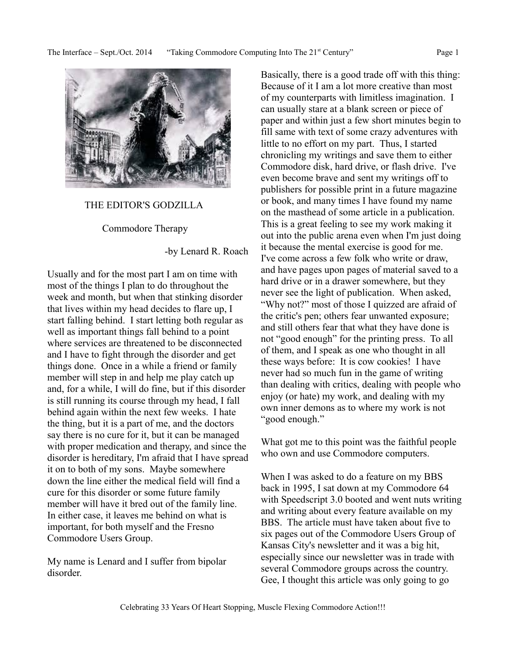

#### THE EDITOR'S GODZILLA

Commodore Therapy

-by Lenard R. Roach

Usually and for the most part I am on time with most of the things I plan to do throughout the week and month, but when that stinking disorder that lives within my head decides to flare up, I start falling behind. I start letting both regular as well as important things fall behind to a point where services are threatened to be disconnected and I have to fight through the disorder and get things done. Once in a while a friend or family member will step in and help me play catch up and, for a while, I will do fine, but if this disorder is still running its course through my head, I fall behind again within the next few weeks. I hate the thing, but it is a part of me, and the doctors say there is no cure for it, but it can be managed with proper medication and therapy, and since the disorder is hereditary, I'm afraid that I have spread it on to both of my sons. Maybe somewhere down the line either the medical field will find a cure for this disorder or some future family member will have it bred out of the family line. In either case, it leaves me behind on what is important, for both myself and the Fresno Commodore Users Group.

My name is Lenard and I suffer from bipolar disorder.

Basically, there is a good trade off with this thing: Because of it I am a lot more creative than most of my counterparts with limitless imagination. I can usually stare at a blank screen or piece of paper and within just a few short minutes begin to fill same with text of some crazy adventures with little to no effort on my part. Thus, I started chronicling my writings and save them to either Commodore disk, hard drive, or flash drive. I've even become brave and sent my writings off to publishers for possible print in a future magazine or book, and many times I have found my name on the masthead of some article in a publication. This is a great feeling to see my work making it out into the public arena even when I'm just doing it because the mental exercise is good for me. I've come across a few folk who write or draw, and have pages upon pages of material saved to a hard drive or in a drawer somewhere, but they never see the light of publication. When asked, "Why not?" most of those I quizzed are afraid of the critic's pen; others fear unwanted exposure; and still others fear that what they have done is not "good enough" for the printing press. To all of them, and I speak as one who thought in all these ways before: It is cow cookies! I have never had so much fun in the game of writing than dealing with critics, dealing with people who enjoy (or hate) my work, and dealing with my own inner demons as to where my work is not "good enough."

What got me to this point was the faithful people who own and use Commodore computers.

When I was asked to do a feature on my BBS back in 1995, I sat down at my Commodore 64 with Speedscript 3.0 booted and went nuts writing and writing about every feature available on my BBS. The article must have taken about five to six pages out of the Commodore Users Group of Kansas City's newsletter and it was a big hit, especially since our newsletter was in trade with several Commodore groups across the country. Gee, I thought this article was only going to go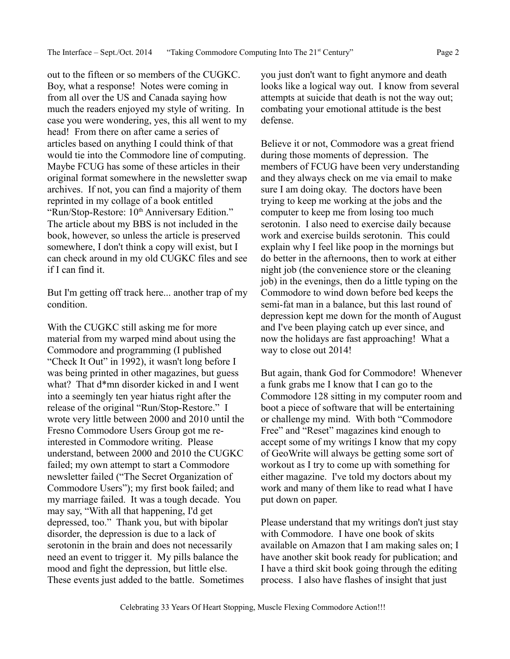out to the fifteen or so members of the CUGKC. Boy, what a response! Notes were coming in from all over the US and Canada saying how much the readers enjoyed my style of writing. In case you were wondering, yes, this all went to my head! From there on after came a series of articles based on anything I could think of that would tie into the Commodore line of computing. Maybe FCUG has some of these articles in their original format somewhere in the newsletter swap archives. If not, you can find a majority of them reprinted in my collage of a book entitled "Run/Stop-Restore: 10<sup>th</sup> Anniversary Edition." The article about my BBS is not included in the book, however, so unless the article is preserved somewhere, I don't think a copy will exist, but I can check around in my old CUGKC files and see if I can find it.

But I'm getting off track here... another trap of my condition.

With the CUGKC still asking me for more material from my warped mind about using the Commodore and programming (I published "Check It Out" in 1992), it wasn't long before I was being printed in other magazines, but guess what? That d\*mn disorder kicked in and I went into a seemingly ten year hiatus right after the release of the original "Run/Stop-Restore." I wrote very little between 2000 and 2010 until the Fresno Commodore Users Group got me reinterested in Commodore writing. Please understand, between 2000 and 2010 the CUGKC failed; my own attempt to start a Commodore newsletter failed ("The Secret Organization of Commodore Users"); my first book failed; and my marriage failed. It was a tough decade. You may say, "With all that happening, I'd get depressed, too." Thank you, but with bipolar disorder, the depression is due to a lack of serotonin in the brain and does not necessarily need an event to trigger it. My pills balance the mood and fight the depression, but little else. These events just added to the battle. Sometimes you just don't want to fight anymore and death looks like a logical way out. I know from several attempts at suicide that death is not the way out; combating your emotional attitude is the best defense.

Believe it or not, Commodore was a great friend during those moments of depression. The members of FCUG have been very understanding and they always check on me via email to make sure I am doing okay. The doctors have been trying to keep me working at the jobs and the computer to keep me from losing too much serotonin. I also need to exercise daily because work and exercise builds serotonin. This could explain why I feel like poop in the mornings but do better in the afternoons, then to work at either night job (the convenience store or the cleaning job) in the evenings, then do a little typing on the Commodore to wind down before bed keeps the semi-fat man in a balance, but this last round of depression kept me down for the month of August and I've been playing catch up ever since, and now the holidays are fast approaching! What a way to close out 2014!

But again, thank God for Commodore! Whenever a funk grabs me I know that I can go to the Commodore 128 sitting in my computer room and boot a piece of software that will be entertaining or challenge my mind. With both "Commodore Free" and "Reset" magazines kind enough to accept some of my writings I know that my copy of GeoWrite will always be getting some sort of workout as I try to come up with something for either magazine. I've told my doctors about my work and many of them like to read what I have put down on paper.

Please understand that my writings don't just stay with Commodore. I have one book of skits available on Amazon that I am making sales on; I have another skit book ready for publication; and I have a third skit book going through the editing process. I also have flashes of insight that just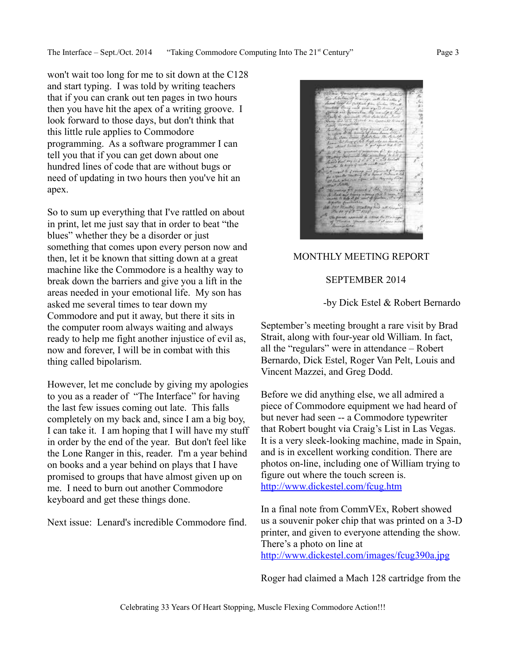The Interface – Sept./Oct. 2014 "Taking Commodore Computing Into The 21<sup>st</sup> Century" Page 3

won't wait too long for me to sit down at the C128 and start typing. I was told by writing teachers that if you can crank out ten pages in two hours then you have hit the apex of a writing groove. I look forward to those days, but don't think that this little rule applies to Commodore programming. As a software programmer I can tell you that if you can get down about one hundred lines of code that are without bugs or need of updating in two hours then you've hit an apex.

So to sum up everything that I've rattled on about in print, let me just say that in order to beat "the blues" whether they be a disorder or just something that comes upon every person now and then, let it be known that sitting down at a great machine like the Commodore is a healthy way to break down the barriers and give you a lift in the areas needed in your emotional life. My son has asked me several times to tear down my Commodore and put it away, but there it sits in the computer room always waiting and always ready to help me fight another injustice of evil as, now and forever, I will be in combat with this thing called bipolarism.

However, let me conclude by giving my apologies to you as a reader of "The Interface" for having the last few issues coming out late. This falls completely on my back and, since I am a big boy, I can take it. I am hoping that I will have my stuff in order by the end of the year. But don't feel like the Lone Ranger in this, reader. I'm a year behind on books and a year behind on plays that I have promised to groups that have almost given up on me. I need to burn out another Commodore keyboard and get these things done.

Next issue: Lenard's incredible Commodore find.

# MONTHLY MEETING REPORT

## SEPTEMBER 2014

-by Dick Estel & Robert Bernardo

September's meeting brought a rare visit by Brad Strait, along with four-year old William. In fact, all the "regulars" were in attendance – Robert Bernardo, Dick Estel, Roger Van Pelt, Louis and Vincent Mazzei, and Greg Dodd.

Before we did anything else, we all admired a piece of Commodore equipment we had heard of but never had seen -- a Commodore typewriter that Robert bought via Craig's List in Las Vegas. It is a very sleek-looking machine, made in Spain, and is in excellent working condition. There are photos on-line, including one of William trying to figure out where the touch screen is. <http://www.dickestel.com/fcug.htm>

In a final note from CommVEx, Robert showed us a souvenir poker chip that was printed on a 3-D printer, and given to everyone attending the show. There's a photo on line at <http://www.dickestel.com/images/fcug390a.jpg>

Roger had claimed a Mach 128 cartridge from the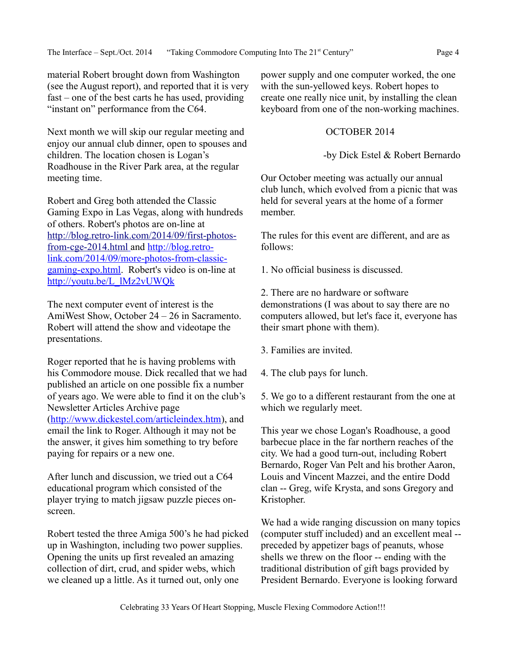material Robert brought down from Washington (see the August report), and reported that it is very fast – one of the best carts he has used, providing "instant on" performance from the C64.

Next month we will skip our regular meeting and enjoy our annual club dinner, open to spouses and children. The location chosen is Logan's Roadhouse in the River Park area, at the regular meeting time.

Robert and Greg both attended the Classic Gaming Expo in Las Vegas, along with hundreds of others. Robert's photos are on-line at [http://blog.retro-link.com/2014/09/first-photos](http://blog.retro-link.com/2014/09/first-photos-from-cge-2014.html)  [from-cge-2014.html](http://blog.retro-link.com/2014/09/first-photos-from-cge-2014.html) and [http://blog.retro](http://blog.retro-link.com/2014/09/more-photos-from-classic-gaming-expo.html)[link.com/2014/09/more-photos-from-classic](http://blog.retro-link.com/2014/09/more-photos-from-classic-gaming-expo.html)[gaming-expo.html.](http://blog.retro-link.com/2014/09/more-photos-from-classic-gaming-expo.html) Robert's video is on-line at [http://youtu.be/L\\_lMz2vUWQk](http://youtu.be/L_lMz2vUWQk)

The next computer event of interest is the AmiWest Show, October 24 – 26 in Sacramento. Robert will attend the show and videotape the presentations.

Roger reported that he is having problems with his Commodore mouse. Dick recalled that we had published an article on one possible fix a number of years ago. We were able to find it on the club's Newsletter Articles Archive page [\(http://www.dickestel.com/articleindex.htm\)](http://www.dickestel.com/articleindex.htm), and email the link to Roger. Although it may not be the answer, it gives him something to try before paying for repairs or a new one.

After lunch and discussion, we tried out a C64 educational program which consisted of the player trying to match jigsaw puzzle pieces onscreen.

Robert tested the three Amiga 500's he had picked up in Washington, including two power supplies. Opening the units up first revealed an amazing collection of dirt, crud, and spider webs, which we cleaned up a little. As it turned out, only one

power supply and one computer worked, the one with the sun-yellowed keys. Robert hopes to create one really nice unit, by installing the clean keyboard from one of the non-working machines.

### OCTOBER 2014

-by Dick Estel & Robert Bernardo

Our October meeting was actually our annual club lunch, which evolved from a picnic that was held for several years at the home of a former member.

The rules for this event are different, and are as follows:

1. No official business is discussed.

2. There are no hardware or software demonstrations (I was about to say there are no computers allowed, but let's face it, everyone has their smart phone with them).

3. Families are invited.

4. The club pays for lunch.

5. We go to a different restaurant from the one at which we regularly meet.

This year we chose Logan's Roadhouse, a good barbecue place in the far northern reaches of the city. We had a good turn-out, including Robert Bernardo, Roger Van Pelt and his brother Aaron, Louis and Vincent Mazzei, and the entire Dodd clan -- Greg, wife Krysta, and sons Gregory and Kristopher.

We had a wide ranging discussion on many topics (computer stuff included) and an excellent meal - preceded by appetizer bags of peanuts, whose shells we threw on the floor -- ending with the traditional distribution of gift bags provided by President Bernardo. Everyone is looking forward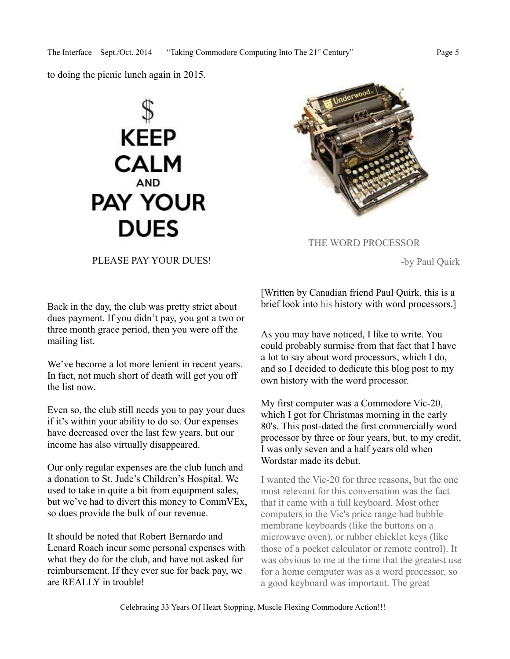to doing the picnic lunch again in 2015.





THE WORD PROCESSOR

-by Paul Quirk

PLEASE PAY YOUR DUES!

Back in the day, the club was pretty strict about dues payment. If you didn't pay, you got a two or three month grace period, then you were off the mailing list.

We've become a lot more lenient in recent years. In fact, not much short of death will get you off the list now.

Even so, the club still needs you to pay your dues if it's within your ability to do so. Our expenses have decreased over the last few years, but our income has also virtually disappeared.

Our only regular expenses are the club lunch and a donation to St. Jude's Children's Hospital. We used to take in quite a bit from equipment sales, but we've had to divert this money to CommVEx, so dues provide the bulk of our revenue.

It should be noted that Robert Bernardo and Lenard Roach incur some personal expenses with what they do for the club, and have not asked for reimbursement. If they ever sue for back pay, we are REALLY in trouble!

[Written by Canadian friend Paul Quirk, this is a brief look into his history with word processors.]

As you may have noticed, I like to write. You could probably surmise from that fact that I have a lot to say about word processors, which I do, and so I decided to dedicate this blog post to my own history with the word processor.

My first computer was a Commodore Vic-20, which I got for Christmas morning in the early 80's. This post-dated the first commercially word processor by three or four years, but, to my credit, I was only seven and a half years old when Wordstar made its debut.

I wanted the Vic-20 for three reasons, but the one most relevant for this conversation was the fact that it came with a full keyboard. Most other computers in the Vic's price range had bubble membrane keyboards (like the buttons on a microwave oven), or rubber chicklet keys (like those of a pocket calculator or remote control). It was obvious to me at the time that the greatest use for a home computer was as a word processor, so a good keyboard was important. The great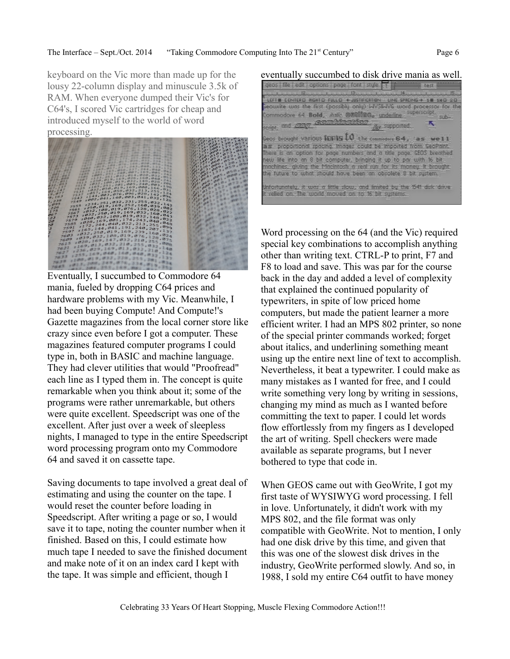keyboard on the Vic more than made up for the lousy 22-column display and minuscule 3.5k of RAM. When everyone dumped their Vic's for C64's, I scored Vic cartridges for cheap and introduced myself to the world of word processing.



Eventually, I succumbed to Commodore 64 mania, fueled by dropping C64 prices and hardware problems with my Vic. Meanwhile, I had been buying Compute! And Compute!'s Gazette magazines from the local corner store like crazy since even before I got a computer. These magazines featured computer programs I could type in, both in BASIC and machine language. They had clever utilities that would "Proofread" each line as I typed them in. The concept is quite remarkable when you think about it; some of the programs were rather unremarkable, but others were quite excellent. Speedscript was one of the excellent. After just over a week of sleepless nights, I managed to type in the entire Speedscript word processing program onto my Commodore 64 and saved it on cassette tape.

Saving documents to tape involved a great deal of estimating and using the counter on the tape. I would reset the counter before loading in Speedscript. After writing a page or so, I would save it to tape, noting the counter number when it finished. Based on this, I could estimate how much tape I needed to save the finished document and make note of it on an index card I kept with the tape. It was simple and efficient, though I

eventually succumbed to disk drive mania as well. questi de pode concidente con escuelato LEFT E CENTERO RIGHTO FULLO + JUSTIFICATION - LINE SPACING + 1 1XO 20 leawrite was the first (passibly only) WYSIWYG word processor for the commodore 64. Bold, Ank: @Belling, underline, superscript, and ging Gombinations **Ag** supported. brought various furts  $10$  the commodore  $64$ , as well as proportional spacing. Images could be imported from GeoPaint. There is an option for page numbers and a title page. GEOS breathed new life into an 8 bit computer, bringing it up to par with 16 bit. machines, giving the Macintosh a real run for its money. It brought the future to what should have been an obsolete 8 bit system. Infortunately, it was a little slow, and limited by the 1541 disk drive relied on. The world moved on to 16 bit systems.

Word processing on the 64 (and the Vic) required special key combinations to accomplish anything other than writing text. CTRL-P to print, F7 and F8 to load and save. This was par for the course back in the day and added a level of complexity that explained the continued popularity of typewriters, in spite of low priced home computers, but made the patient learner a more efficient writer. I had an MPS 802 printer, so none of the special printer commands worked; forget about italics, and underlining something meant using up the entire next line of text to accomplish. Nevertheless, it beat a typewriter. I could make as many mistakes as I wanted for free, and I could write something very long by writing in sessions, changing my mind as much as I wanted before committing the text to paper. I could let words flow effortlessly from my fingers as I developed the art of writing. Spell checkers were made available as separate programs, but I never bothered to type that code in.

When GEOS came out with GeoWrite, I got my first taste of WYSIWYG word processing. I fell in love. Unfortunately, it didn't work with my MPS 802, and the file format was only compatible with GeoWrite. Not to mention, I only had one disk drive by this time, and given that this was one of the slowest disk drives in the industry, GeoWrite performed slowly. And so, in 1988, I sold my entire C64 outfit to have money